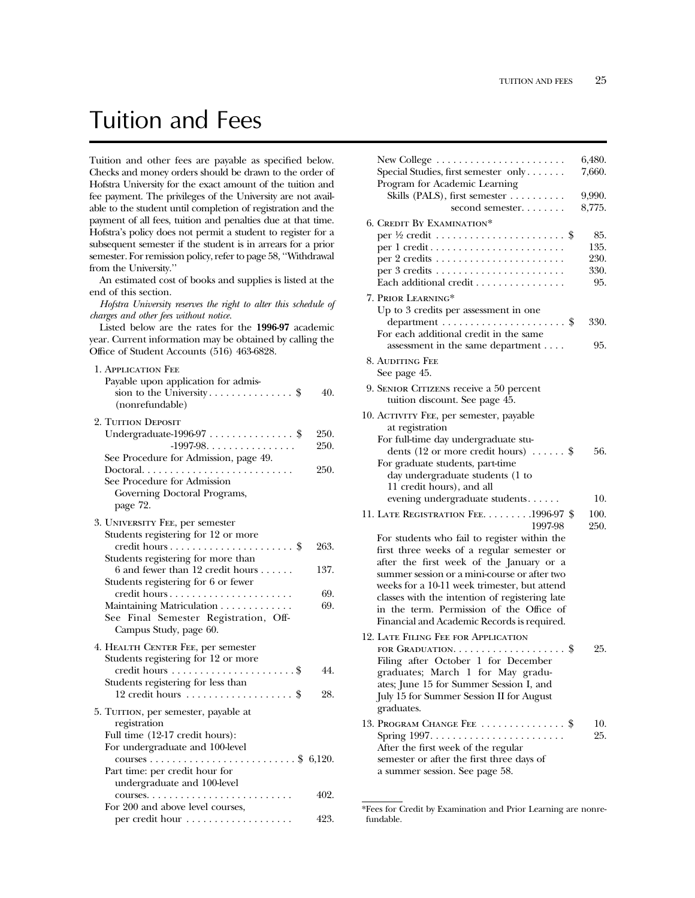## Tuition and Fees

Tuition and other fees are payable as specified below. Checks and money orders should be drawn to the order of Hofstra University for the exact amount of the tuition and fee payment. The privileges of the University are not available to the student until completion of registration and the payment of all fees, tuition and penalties due at that time. Hofstra's policy does not permit a student to register for a subsequent semester if the student is in arrears for a prior semester. For remission policy, refer to page 58, ''Withdrawal from the University.''

An estimated cost of books and supplies is listed at the end of this section.

*Hofstra University reserves the right to alter this schedule of charges and other fees without notice.*

Listed below are the rates for the **1996-97** academic year. Current information may be obtained by calling the Office of Student Accounts (516) 463-6828.

| 1. APPLICATION FEE<br>Payable upon application for admis-<br>(nonrefundable)                                               | 40.          |
|----------------------------------------------------------------------------------------------------------------------------|--------------|
| 2. TUITION DEPOSIT<br>Undergraduate-1996-97 $\ldots$ \$<br>$-1997-98.$                                                     | 250.<br>250. |
| See Procedure for Admission, page 49.<br>See Procedure for Admission<br>Governing Doctoral Programs,<br>page 72.           | 250.         |
| 3. UNIVERSITY FEE, per semester<br>Students registering for 12 or more                                                     | 263.         |
| Students registering for more than<br>$6$ and fewer than 12 credit hours<br>Students registering for 6 or fewer            | 137.         |
| credit hours<br>Maintaining Matriculation<br>See Final Semester Registration, Off-<br>Campus Study, page 60.               | 69.<br>69.   |
| 4. HEALTH CENTER FEE, per semester<br>Students registering for 12 or more                                                  | 44.          |
| Students registering for less than<br>12 credit hours \$                                                                   | 28.          |
| 5. TUITION, per semester, payable at<br>registration<br>Full time (12-17 credit hours):<br>For undergraduate and 100-level |              |
| Part time: per credit hour for<br>undergraduate and 100-level                                                              |              |
| For 200 and above level courses,                                                                                           | 402.         |
| per credit hour                                                                                                            | 423.         |

| New College $\dots\dots\dots\dots\dots\dots\dots\dots\dots$                        | 6,480.     |
|------------------------------------------------------------------------------------|------------|
| Special Studies, first semester only                                               | 7,660.     |
| Program for Academic Learning                                                      |            |
| Skills (PALS), first semester $\dots\dots\dots$                                    | 9,990.     |
| second semester                                                                    | 8,775.     |
| 6. CREDIT BY EXAMINATION*                                                          |            |
|                                                                                    | 85.        |
|                                                                                    | 135.       |
|                                                                                    | 230.       |
|                                                                                    | 330.       |
| Each additional credit                                                             | 95.        |
| 7. PRIOR LEARNING*                                                                 |            |
| Up to 3 credits per assessment in one                                              |            |
|                                                                                    | 330.       |
| For each additional credit in the same                                             |            |
| assessment in the same department                                                  | 95.        |
| 8. AUDITING FEE<br>See page 45.                                                    |            |
| 9. SENIOR CITIZENS receive a 50 percent                                            |            |
| tuition discount. See page 45.                                                     |            |
| 10. ACTIVITY FEE, per semester, payable                                            |            |
| at registration                                                                    |            |
| For full-time day undergraduate stu-<br>dents (12 or more credit hours) $\dots$ \$ | 56.        |
| For graduate students, part-time                                                   |            |
| day undergraduate students (1 to                                                   |            |
| 11 credit hours), and all                                                          |            |
| evening undergraduate students                                                     | 10.        |
| 11. LATE REGISTRATION FEE. 1996-97 \$                                              | 100.       |
| 1997-98                                                                            | 250.       |
| For students who fail to register within the                                       |            |
| first three weeks of a regular semester or                                         |            |
| after the first week of the January or a                                           |            |
| summer session or a mini-course or after two                                       |            |
| weeks for a 10-11 week trimester, but attend                                       |            |
| classes with the intention of registering late                                     |            |
| in the term. Permission of the Office of                                           |            |
| Financial and Academic Records is required.                                        |            |
| 12. LATE FILING FEE FOR APPLICATION                                                |            |
| FOR GRADUATION. $\dots \dots \dots \dots \dots \dots$                              | 25.        |
| Filing after October 1 for December                                                |            |
| graduates; March 1 for May gradu-<br>ates; June 15 for Summer Session I, and       |            |
| July 15 for Summer Session II for August                                           |            |
| graduates.                                                                         |            |
|                                                                                    |            |
| 13. Program Change Fee  \$                                                         | 10.<br>25. |
| After the first week of the regular                                                |            |
| semester or after the first three days of                                          |            |
| a summer session. See page 58.                                                     |            |
|                                                                                    |            |

<sup>\*</sup>Fees for Credit by Examination and Prior Learning are nonrefundable.